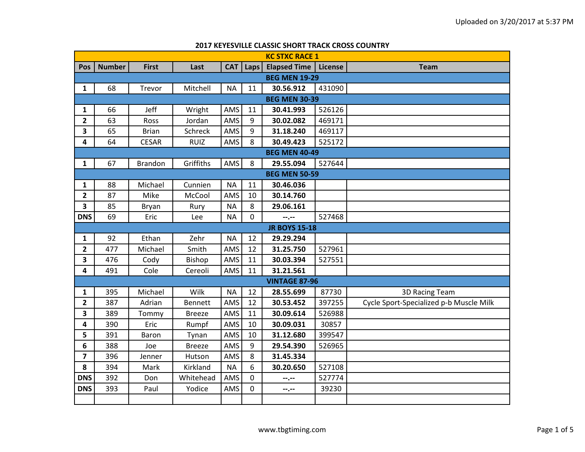|                         | <b>KC STXC RACE 1</b> |                |                |            |      |                      |         |                                         |  |  |  |
|-------------------------|-----------------------|----------------|----------------|------------|------|----------------------|---------|-----------------------------------------|--|--|--|
| Pos                     | <b>Number</b>         | <b>First</b>   | Last           | <b>CAT</b> | Laps | <b>Elapsed Time</b>  | License | <b>Team</b>                             |  |  |  |
|                         | <b>BEG MEN 19-29</b>  |                |                |            |      |                      |         |                                         |  |  |  |
| $\mathbf{1}$            | 68                    | Trevor         | Mitchell       | <b>NA</b>  | 11   | 30.56.912            | 431090  |                                         |  |  |  |
|                         | <b>BEG MEN 30-39</b>  |                |                |            |      |                      |         |                                         |  |  |  |
| $\mathbf{1}$            | 66                    | Jeff           | Wright         | AMS        | 11   | 30.41.993            | 526126  |                                         |  |  |  |
| $\overline{2}$          | 63                    | Ross           | Jordan         | AMS        | 9    | 30.02.082            | 469171  |                                         |  |  |  |
| 3                       | 65                    | <b>Brian</b>   | Schreck        | AMS        | 9    | 31.18.240            | 469117  |                                         |  |  |  |
| 4                       | 64                    | <b>CESAR</b>   | <b>RUIZ</b>    | AMS        | 8    | 30.49.423            | 525172  |                                         |  |  |  |
|                         |                       |                |                |            |      | <b>BEG MEN 40-49</b> |         |                                         |  |  |  |
| $\mathbf{1}$            | 67                    | <b>Brandon</b> | Griffiths      | AMS        | 8    | 29.55.094            | 527644  |                                         |  |  |  |
|                         |                       |                |                |            |      | <b>BEG MEN 50-59</b> |         |                                         |  |  |  |
| $\mathbf{1}$            | 88                    | Michael        | Cunnien        | <b>NA</b>  | 11   | 30.46.036            |         |                                         |  |  |  |
| $\overline{\mathbf{2}}$ | 87                    | Mike           | McCool         | AMS        | 10   | 30.14.760            |         |                                         |  |  |  |
| $\overline{\mathbf{3}}$ | 85                    | Bryan          | Rury           | <b>NA</b>  | 8    | 29.06.161            |         |                                         |  |  |  |
| <b>DNS</b>              | 69                    | Eric           | Lee            | <b>NA</b>  | 0    | $-1$                 | 527468  |                                         |  |  |  |
|                         |                       |                |                |            |      | <b>JR BOYS 15-18</b> |         |                                         |  |  |  |
| $\mathbf{1}$            | 92                    | Ethan          | Zehr           | <b>NA</b>  | 12   | 29.29.294            |         |                                         |  |  |  |
| $\mathbf{2}$            | 477                   | Michael        | Smith          | AMS        | 12   | 31.25.750            | 527961  |                                         |  |  |  |
| $\overline{\mathbf{3}}$ | 476                   | Cody           | Bishop         | AMS        | 11   | 30.03.394            | 527551  |                                         |  |  |  |
| 4                       | 491                   | Cole           | Cereoli        | AMS        | 11   | 31.21.561            |         |                                         |  |  |  |
|                         |                       |                |                |            |      | <b>VINTAGE 87-96</b> |         |                                         |  |  |  |
| 1                       | 395                   | Michael        | Wilk           | <b>NA</b>  | 12   | 28.55.699            | 87730   | <b>3D Racing Team</b>                   |  |  |  |
| 2                       | 387                   | Adrian         | <b>Bennett</b> | AMS        | 12   | 30.53.452            | 397255  | Cycle Sport-Specialized p-b Muscle Milk |  |  |  |
| 3                       | 389                   | Tommy          | <b>Breeze</b>  | AMS        | 11   | 30.09.614            | 526988  |                                         |  |  |  |
| 4                       | 390                   | Eric           | Rumpf          | AMS        | 10   | 30.09.031            | 30857   |                                         |  |  |  |
| 5                       | 391                   | Baron          | Tynan          | AMS        | 10   | 31.12.680            | 399547  |                                         |  |  |  |
| 6                       | 388                   | Joe            | <b>Breeze</b>  | AMS        | 9    | 29.54.390            | 526965  |                                         |  |  |  |
| $\overline{\mathbf{z}}$ | 396                   | Jenner         | Hutson         | AMS        | 8    | 31.45.334            |         |                                         |  |  |  |
| 8                       | 394                   | Mark           | Kirkland       | <b>NA</b>  | 6    | 30.20.650            | 527108  |                                         |  |  |  |
| <b>DNS</b>              | 392                   | Don            | Whitehead      | AMS        | 0    | --.--                | 527774  |                                         |  |  |  |
| <b>DNS</b>              | 393                   | Paul           | Yodice         | AMS        | 0    | $- - - - -$          | 39230   |                                         |  |  |  |
|                         |                       |                |                |            |      |                      |         |                                         |  |  |  |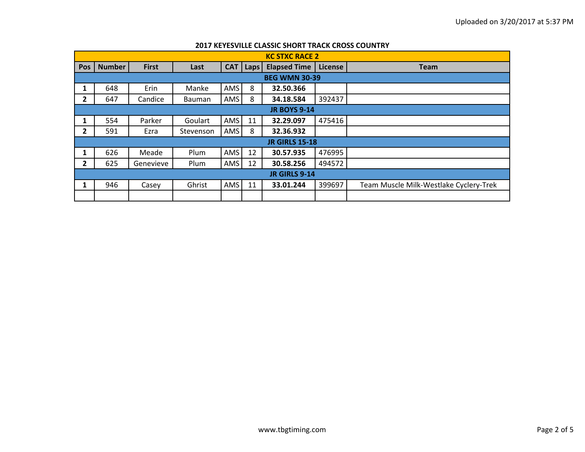|                | <b>KC STXC RACE 2</b> |              |           |     |                 |                       |                |                                        |  |  |  |
|----------------|-----------------------|--------------|-----------|-----|-----------------|-----------------------|----------------|----------------------------------------|--|--|--|
| <b>Pos</b>     | <b>Number</b>         | <b>First</b> | Last      |     | <b>CAT</b> Laps | <b>Elapsed Time</b>   | <b>License</b> | <b>Team</b>                            |  |  |  |
|                | <b>BEG WMN 30-39</b>  |              |           |     |                 |                       |                |                                        |  |  |  |
| 1              | 648                   | Erin         | Manke     | AMS | 8               | 32.50.366             |                |                                        |  |  |  |
| 2              | 647                   | Candice      | Bauman    | AMS | 8               | 34.18.584             | 392437         |                                        |  |  |  |
|                | <b>JR BOYS 9-14</b>   |              |           |     |                 |                       |                |                                        |  |  |  |
| 1              | 554                   | Parker       | Goulart   | AMS | 11              | 32.29.097             | 475416         |                                        |  |  |  |
| $\overline{2}$ | 591                   | Ezra         | Stevenson | AMS | 8               | 32.36.932             |                |                                        |  |  |  |
|                |                       |              |           |     |                 | <b>JR GIRLS 15-18</b> |                |                                        |  |  |  |
| 1              | 626                   | Meade        | Plum      | AMS | 12              | 30.57.935             | 476995         |                                        |  |  |  |
| 2              | 625                   | Genevieve    | Plum      | AMS | 12              | 30.58.256             | 494572         |                                        |  |  |  |
|                | <b>JR GIRLS 9-14</b>  |              |           |     |                 |                       |                |                                        |  |  |  |
| 1              | 946                   | Casey        | Ghrist    | AMS | 11              | 33.01.244             | 399697         | Team Muscle Milk-Westlake Cyclery-Trek |  |  |  |
|                |                       |              |           |     |                 |                       |                |                                        |  |  |  |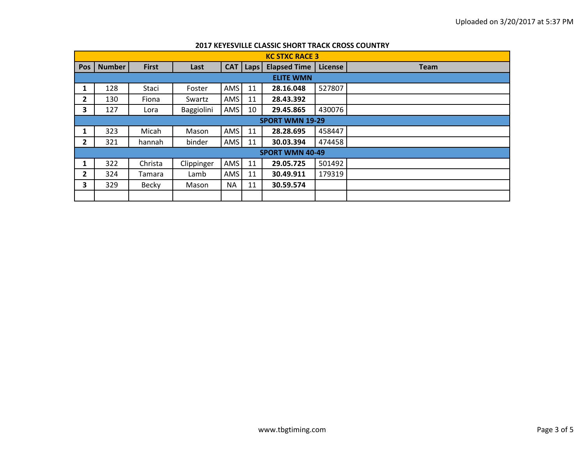|              | <b>KC STXC RACE 3</b>  |              |            |           |             |                     |         |             |  |  |  |  |
|--------------|------------------------|--------------|------------|-----------|-------------|---------------------|---------|-------------|--|--|--|--|
| <b>Pos</b>   | <b>Number</b>          | <b>First</b> | Last       | CAT       | <b>Laps</b> | <b>Elapsed Time</b> | License | <b>Team</b> |  |  |  |  |
|              | <b>ELITE WMN</b>       |              |            |           |             |                     |         |             |  |  |  |  |
| 1            | 128                    | Staci        | Foster     | AMS       | 11          | 28.16.048           | 527807  |             |  |  |  |  |
| $\mathbf{2}$ | 130                    | Fiona        | Swartz     | AMS       | 11          | 28.43.392           |         |             |  |  |  |  |
| 3            | 127                    | Lora         | Baggiolini | AMS       | 10          | 29.45.865           | 430076  |             |  |  |  |  |
|              | <b>SPORT WMN 19-29</b> |              |            |           |             |                     |         |             |  |  |  |  |
| $\mathbf{1}$ | 323                    | Micah        | Mason      | AMS       | 11          | 28.28.695           | 458447  |             |  |  |  |  |
| 2            | 321                    | hannah       | binder     | AMS       | 11          | 30.03.394           | 474458  |             |  |  |  |  |
|              | <b>SPORT WMN 40-49</b> |              |            |           |             |                     |         |             |  |  |  |  |
|              | 322                    | Christa      | Clippinger | AMS       | 11          | 29.05.725           | 501492  |             |  |  |  |  |
| 2            | 324                    | Tamara       | Lamb       | AMS       | 11          | 30.49.911           | 179319  |             |  |  |  |  |
| 3            | 329                    | Becky        | Mason      | <b>NA</b> | 11          | 30.59.574           |         |             |  |  |  |  |
|              |                        |              |            |           |             |                     |         |             |  |  |  |  |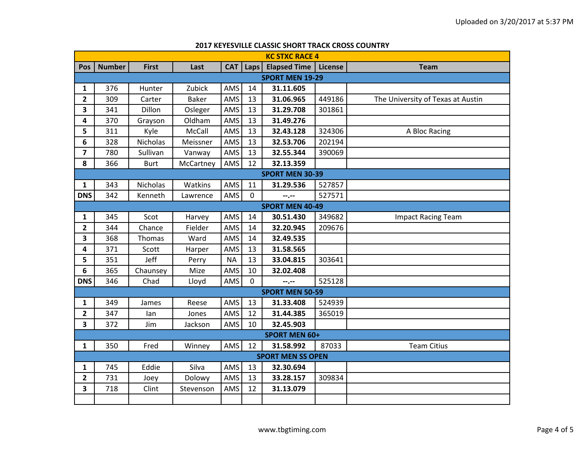|                         | <b>KC STXC RACE 4</b>  |                 |              |            |             |                          |         |                                   |  |  |  |  |
|-------------------------|------------------------|-----------------|--------------|------------|-------------|--------------------------|---------|-----------------------------------|--|--|--|--|
| Pos                     | <b>Number</b>          | <b>First</b>    | Last         | <b>CAT</b> | <b>Laps</b> | <b>Elapsed Time</b>      | License | <b>Team</b>                       |  |  |  |  |
|                         | <b>SPORT MEN 19-29</b> |                 |              |            |             |                          |         |                                   |  |  |  |  |
| 1                       | 376                    | Hunter          | Zubick       | AMS        | 14          | 31.11.605                |         |                                   |  |  |  |  |
| $\overline{2}$          | 309                    | Carter          | <b>Baker</b> | AMS        | 13          | 31.06.965                | 449186  | The University of Texas at Austin |  |  |  |  |
| 3                       | 341                    | Dillon          | Osleger      | AMS        | 13          | 31.29.708                | 301861  |                                   |  |  |  |  |
| 4                       | 370                    | Grayson         | Oldham       | AMS        | 13          | 31.49.276                |         |                                   |  |  |  |  |
| 5                       | 311                    | Kyle            | McCall       | AMS        | 13          | 32.43.128                | 324306  | A Bloc Racing                     |  |  |  |  |
| 6                       | 328                    | <b>Nicholas</b> | Meissner     | AMS        | 13          | 32.53.706                | 202194  |                                   |  |  |  |  |
| $\overline{\mathbf{z}}$ | 780                    | Sullivan        | Vanway       | AMS        | 13          | 32.55.344                | 390069  |                                   |  |  |  |  |
| 8                       | 366                    | <b>Burt</b>     | McCartney    | AMS        | 12          | 32.13.359                |         |                                   |  |  |  |  |
|                         |                        |                 |              |            |             | <b>SPORT MEN 30-39</b>   |         |                                   |  |  |  |  |
| $\mathbf{1}$            | 343                    | Nicholas        | Watkins      | AMS        | 11          | 31.29.536                | 527857  |                                   |  |  |  |  |
| <b>DNS</b>              | 342                    | Kenneth         | Lawrence     | AMS        | $\Omega$    | --.--                    | 527571  |                                   |  |  |  |  |
|                         |                        |                 |              |            |             | <b>SPORT MEN 40-49</b>   |         |                                   |  |  |  |  |
| 1                       | 345                    | Scot            | Harvey       | AMS        | 14          | 30.51.430                | 349682  | <b>Impact Racing Team</b>         |  |  |  |  |
| $\mathbf{2}$            | 344                    | Chance          | Fielder      | AMS        | 14          | 32.20.945                | 209676  |                                   |  |  |  |  |
| 3                       | 368                    | Thomas          | Ward         | AMS        | 14          | 32.49.535                |         |                                   |  |  |  |  |
| 4                       | 371                    | Scott           | Harper       | AMS        | 13          | 31.58.565                |         |                                   |  |  |  |  |
| 5                       | 351                    | Jeff            | Perry        | <b>NA</b>  | 13          | 33.04.815                | 303641  |                                   |  |  |  |  |
| 6                       | 365                    | Chaunsey        | Mize         | AMS        | 10          | 32.02.408                |         |                                   |  |  |  |  |
| <b>DNS</b>              | 346                    | Chad            | Lloyd        | AMS        | $\Omega$    | --.--                    | 525128  |                                   |  |  |  |  |
|                         |                        |                 |              |            |             | <b>SPORT MEN 50-59</b>   |         |                                   |  |  |  |  |
| 1                       | 349                    | James           | Reese        | AMS        | 13          | 31.33.408                | 524939  |                                   |  |  |  |  |
| $\overline{2}$          | 347                    | lan             | Jones        | AMS        | 12          | 31.44.385                | 365019  |                                   |  |  |  |  |
| 3                       | 372                    | Jim             | Jackson      | AMS        | 10          | 32.45.903                |         |                                   |  |  |  |  |
|                         | <b>SPORT MEN 60+</b>   |                 |              |            |             |                          |         |                                   |  |  |  |  |
| 1                       | 350                    | Fred            | Winney       | AMS        | 12          | 31.58.992                | 87033   | <b>Team Citius</b>                |  |  |  |  |
|                         |                        |                 |              |            |             | <b>SPORT MEN SS OPEN</b> |         |                                   |  |  |  |  |
| 1                       | 745                    | Eddie           | Silva        | AMS        | 13          | 32.30.694                |         |                                   |  |  |  |  |
| 2                       | 731                    | Joey            | Dolowy       | AMS        | 13          | 33.28.157                | 309834  |                                   |  |  |  |  |
| 3                       | 718                    | Clint           | Stevenson    | AMS        | 12          | 31.13.079                |         |                                   |  |  |  |  |
|                         |                        |                 |              |            |             |                          |         |                                   |  |  |  |  |